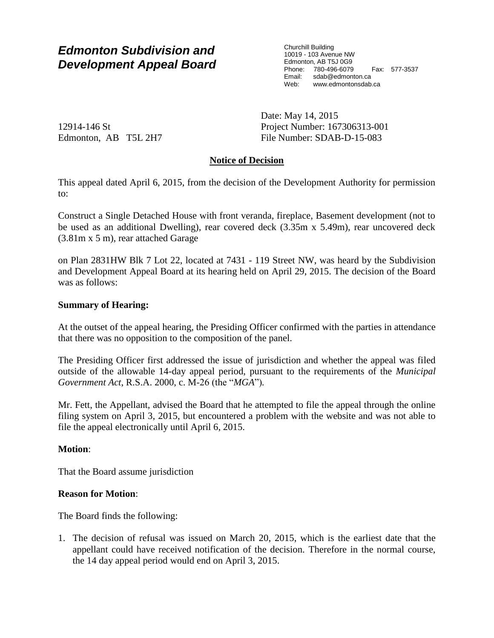# *Edmonton Subdivision and Development Appeal Board*

Churchill Building 10019 - 103 Avenue NW Edmonton, AB T5J 0G9 Phone: 780-496-6079 Fax: 577-3537 Email: sdab@edmonton.ca<br>Web: www.edmonton.ca Web: www.edmontonsdab.ca

12914-146 St Edmonton, AB T5L 2H7 Date: May 14, 2015 Project Number: 167306313-001 File Number: SDAB-D-15-083

### **Notice of Decision**

This appeal dated April 6, 2015, from the decision of the Development Authority for permission to:

Construct a Single Detached House with front veranda, fireplace, Basement development (not to be used as an additional Dwelling), rear covered deck (3.35m x 5.49m), rear uncovered deck (3.81m x 5 m), rear attached Garage

on Plan 2831HW Blk 7 Lot 22, located at 7431 - 119 Street NW, was heard by the Subdivision and Development Appeal Board at its hearing held on April 29, 2015. The decision of the Board was as follows:

#### **Summary of Hearing:**

At the outset of the appeal hearing, the Presiding Officer confirmed with the parties in attendance that there was no opposition to the composition of the panel.

The Presiding Officer first addressed the issue of jurisdiction and whether the appeal was filed outside of the allowable 14-day appeal period, pursuant to the requirements of the *Municipal Government Act*, R.S.A. 2000, c. M-26 (the "*MGA*")*.*

Mr. Fett, the Appellant, advised the Board that he attempted to file the appeal through the online filing system on April 3, 2015, but encountered a problem with the website and was not able to file the appeal electronically until April 6, 2015.

#### **Motion**:

That the Board assume jurisdiction

#### **Reason for Motion**:

The Board finds the following:

1. The decision of refusal was issued on March 20, 2015, which is the earliest date that the appellant could have received notification of the decision. Therefore in the normal course, the 14 day appeal period would end on April 3, 2015.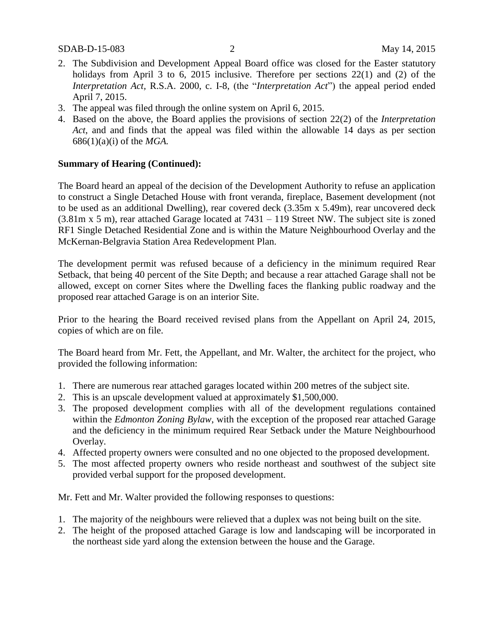- 2. The Subdivision and Development Appeal Board office was closed for the Easter statutory holidays from April 3 to 6, 2015 inclusive. Therefore per sections 22(1) and (2) of the *Interpretation Act,* R.S.A. 2000, c. I-8, (the "*Interpretation Act*") the appeal period ended April 7, 2015.
- 3. The appeal was filed through the online system on April 6, 2015.
- 4. Based on the above, the Board applies the provisions of section 22(2) of the *Interpretation Act*, and and finds that the appeal was filed within the allowable 14 days as per section 686(1)(a)(i) of the *MGA.*

#### **Summary of Hearing (Continued):**

The Board heard an appeal of the decision of the Development Authority to refuse an application to construct a Single Detached House with front veranda, fireplace, Basement development (not to be used as an additional Dwelling), rear covered deck (3.35m x 5.49m), rear uncovered deck (3.81m x 5 m), rear attached Garage located at 7431 – 119 Street NW. The subject site is zoned RF1 Single Detached Residential Zone and is within the Mature Neighbourhood Overlay and the McKernan-Belgravia Station Area Redevelopment Plan.

The development permit was refused because of a deficiency in the minimum required Rear Setback, that being 40 percent of the Site Depth; and because a rear attached Garage shall not be allowed, except on corner Sites where the Dwelling faces the flanking public roadway and the proposed rear attached Garage is on an interior Site.

Prior to the hearing the Board received revised plans from the Appellant on April 24, 2015, copies of which are on file.

The Board heard from Mr. Fett, the Appellant, and Mr. Walter, the architect for the project, who provided the following information:

- 1. There are numerous rear attached garages located within 200 metres of the subject site.
- 2. This is an upscale development valued at approximately \$1,500,000.
- 3. The proposed development complies with all of the development regulations contained within the *Edmonton Zoning Bylaw*, with the exception of the proposed rear attached Garage and the deficiency in the minimum required Rear Setback under the Mature Neighbourhood Overlay.
- 4. Affected property owners were consulted and no one objected to the proposed development.
- 5. The most affected property owners who reside northeast and southwest of the subject site provided verbal support for the proposed development.

Mr. Fett and Mr. Walter provided the following responses to questions:

- 1. The majority of the neighbours were relieved that a duplex was not being built on the site.
- 2. The height of the proposed attached Garage is low and landscaping will be incorporated in the northeast side yard along the extension between the house and the Garage.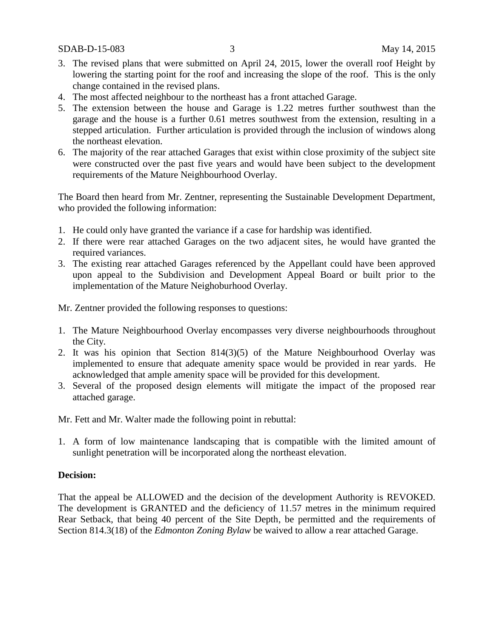- 3. The revised plans that were submitted on April 24, 2015, lower the overall roof Height by lowering the starting point for the roof and increasing the slope of the roof. This is the only change contained in the revised plans.
- 4. The most affected neighbour to the northeast has a front attached Garage.
- 5. The extension between the house and Garage is 1.22 metres further southwest than the garage and the house is a further 0.61 metres southwest from the extension, resulting in a stepped articulation. Further articulation is provided through the inclusion of windows along the northeast elevation.
- 6. The majority of the rear attached Garages that exist within close proximity of the subject site were constructed over the past five years and would have been subject to the development requirements of the Mature Neighbourhood Overlay.

The Board then heard from Mr. Zentner, representing the Sustainable Development Department, who provided the following information:

- 1. He could only have granted the variance if a case for hardship was identified.
- 2. If there were rear attached Garages on the two adjacent sites, he would have granted the required variances.
- 3. The existing rear attached Garages referenced by the Appellant could have been approved upon appeal to the Subdivision and Development Appeal Board or built prior to the implementation of the Mature Neighoburhood Overlay.

Mr. Zentner provided the following responses to questions:

- 1. The Mature Neighbourhood Overlay encompasses very diverse neighbourhoods throughout the City.
- 2. It was his opinion that Section 814(3)(5) of the Mature Neighbourhood Overlay was implemented to ensure that adequate amenity space would be provided in rear yards. He acknowledged that ample amenity space will be provided for this development.
- 3. Several of the proposed design elements will mitigate the impact of the proposed rear attached garage.

Mr. Fett and Mr. Walter made the following point in rebuttal:

1. A form of low maintenance landscaping that is compatible with the limited amount of sunlight penetration will be incorporated along the northeast elevation.

#### **Decision:**

That the appeal be ALLOWED and the decision of the development Authority is REVOKED. The development is GRANTED and the deficiency of 11.57 metres in the minimum required Rear Setback, that being 40 percent of the Site Depth, be permitted and the requirements of Section 814.3(18) of the *Edmonton Zoning Bylaw* be waived to allow a rear attached Garage.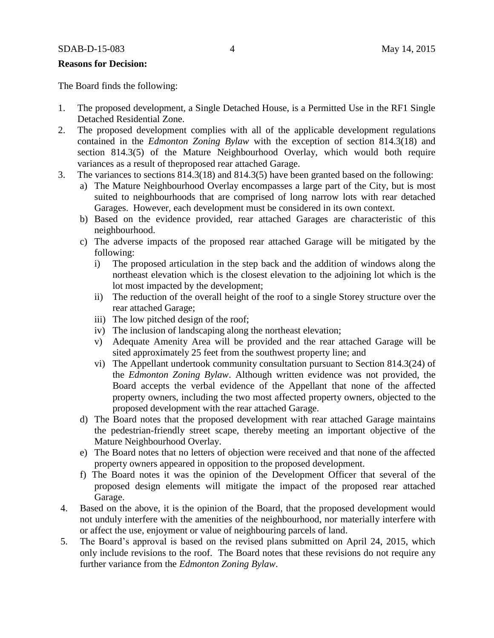#### **Reasons for Decision:**

The Board finds the following:

- 1. The proposed development, a Single Detached House, is a Permitted Use in the RF1 Single Detached Residential Zone.
- 2. The proposed development complies with all of the applicable development regulations contained in the *Edmonton Zoning Bylaw* with the exception of section 814.3(18) and section 814.3(5) of the Mature Neighbourhood Overlay, which would both require variances as a result of theproposed rear attached Garage.
- 3. The variances to sections 814.3(18) and 814.3(5) have been granted based on the following:
	- a) The Mature Neighbourhood Overlay encompasses a large part of the City, but is most suited to neighbourhoods that are comprised of long narrow lots with rear detached Garages. However, each development must be considered in its own context.
	- b) Based on the evidence provided, rear attached Garages are characteristic of this neighbourhood.
	- c) The adverse impacts of the proposed rear attached Garage will be mitigated by the following:
		- i) The proposed articulation in the step back and the addition of windows along the northeast elevation which is the closest elevation to the adjoining lot which is the lot most impacted by the development;
		- ii) The reduction of the overall height of the roof to a single Storey structure over the rear attached Garage;
		- iii) The low pitched design of the roof;
		- iv) The inclusion of landscaping along the northeast elevation;
		- v) Adequate Amenity Area will be provided and the rear attached Garage will be sited approximately 25 feet from the southwest property line; and
		- vi) The Appellant undertook community consultation pursuant to Section 814.3(24) of the *Edmonton Zoning Bylaw*. Although written evidence was not provided, the Board accepts the verbal evidence of the Appellant that none of the affected property owners, including the two most affected property owners, objected to the proposed development with the rear attached Garage.
	- d) The Board notes that the proposed development with rear attached Garage maintains the pedestrian-friendly street scape, thereby meeting an important objective of the Mature Neighbourhood Overlay.
	- e) The Board notes that no letters of objection were received and that none of the affected property owners appeared in opposition to the proposed development.
	- f) The Board notes it was the opinion of the Development Officer that several of the proposed design elements will mitigate the impact of the proposed rear attached Garage.
- 4. Based on the above, it is the opinion of the Board, that the proposed development would not unduly interfere with the amenities of the neighbourhood, nor materially interfere with or affect the use, enjoyment or value of neighbouring parcels of land.
- 5. The Board's approval is based on the revised plans submitted on April 24, 2015, which only include revisions to the roof. The Board notes that these revisions do not require any further variance from the *Edmonton Zoning Bylaw*.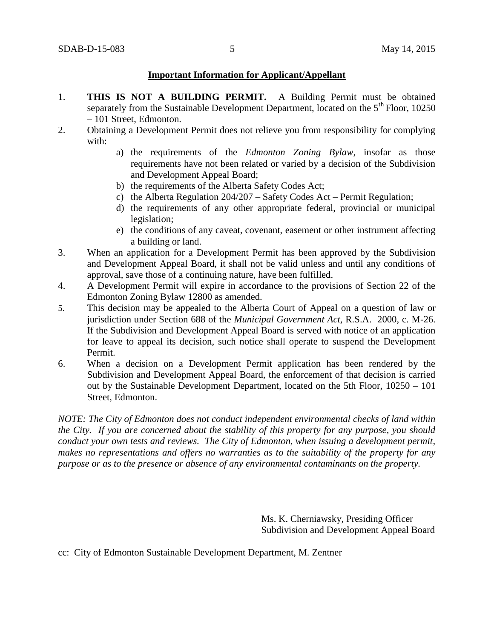#### **Important Information for Applicant/Appellant**

- 1. **THIS IS NOT A BUILDING PERMIT.** A Building Permit must be obtained separately from the Sustainable Development Department, located on the  $5<sup>th</sup>$  Floor, 10250 – 101 Street, Edmonton.
- 2. Obtaining a Development Permit does not relieve you from responsibility for complying with:
	- a) the requirements of the *Edmonton Zoning Bylaw*, insofar as those requirements have not been related or varied by a decision of the Subdivision and Development Appeal Board;
	- b) the requirements of the Alberta Safety Codes Act;
	- c) the Alberta Regulation 204/207 Safety Codes Act Permit Regulation;
	- d) the requirements of any other appropriate federal, provincial or municipal legislation;
	- e) the conditions of any caveat, covenant, easement or other instrument affecting a building or land.
- 3. When an application for a Development Permit has been approved by the Subdivision and Development Appeal Board, it shall not be valid unless and until any conditions of approval, save those of a continuing nature, have been fulfilled.
- 4. A Development Permit will expire in accordance to the provisions of Section 22 of the Edmonton Zoning Bylaw 12800 as amended.
- 5. This decision may be appealed to the Alberta Court of Appeal on a question of law or jurisdiction under Section 688 of the *Municipal Government Act*, R.S.A. 2000, c. M-26. If the Subdivision and Development Appeal Board is served with notice of an application for leave to appeal its decision, such notice shall operate to suspend the Development Permit.
- 6. When a decision on a Development Permit application has been rendered by the Subdivision and Development Appeal Board, the enforcement of that decision is carried out by the Sustainable Development Department, located on the 5th Floor, 10250 – 101 Street, Edmonton.

*NOTE: The City of Edmonton does not conduct independent environmental checks of land within the City. If you are concerned about the stability of this property for any purpose, you should conduct your own tests and reviews. The City of Edmonton, when issuing a development permit, makes no representations and offers no warranties as to the suitability of the property for any purpose or as to the presence or absence of any environmental contaminants on the property.*

> Ms. K. Cherniawsky, Presiding Officer Subdivision and Development Appeal Board

cc: City of Edmonton Sustainable Development Department, M. Zentner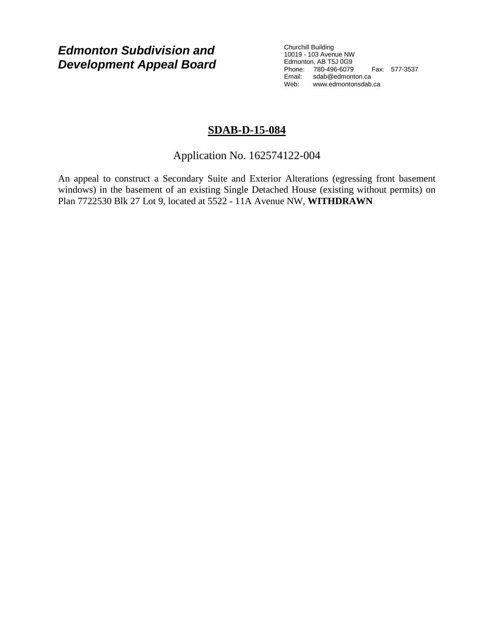*Edmonton Subdivision and Development Appeal Board* Churchill Building 10019 - 103 Avenue NW Edmonton, AB T5J 0G9 Phone: 780-496-6079 Fax: 577-3537 Email: sdab@edmonton.ca Web: www.edmontonsdab.ca

## **SDAB-D-15-084**

Application No. 162574122-004

An appeal to construct a Secondary Suite and Exterior Alterations (egressing front basement windows) in the basement of an existing Single Detached House (existing without permits) on Plan 7722530 Blk 27 Lot 9, located at 5522 - 11A Avenue NW, **WITHDRAWN**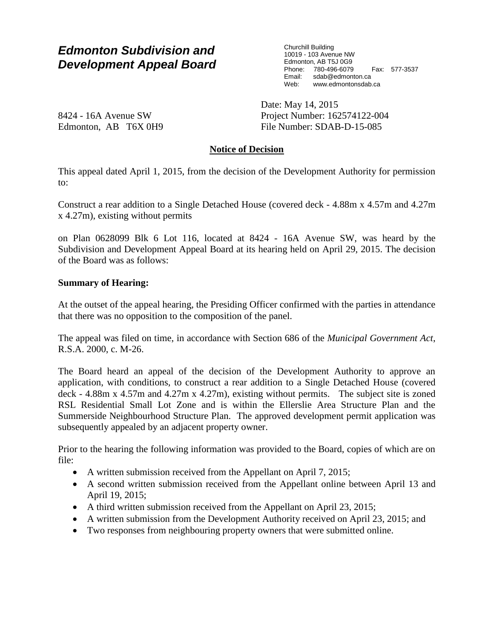# *Edmonton Subdivision and Development Appeal Board*

Churchill Building 10019 - 103 Avenue NW Edmonton, AB T5J 0G9 Phone: 780-496-6079 Fax: 577-3537 sdab@edmonton.ca Web: www.edmontonsdab.ca

8424 - 16A Avenue SW Edmonton, AB T6X 0H9 Date: May 14, 2015 Project Number: 162574122-004 File Number: SDAB-D-15-085

### **Notice of Decision**

This appeal dated April 1, 2015, from the decision of the Development Authority for permission to:

Construct a rear addition to a Single Detached House (covered deck - 4.88m x 4.57m and 4.27m x 4.27m), existing without permits

on Plan 0628099 Blk 6 Lot 116, located at 8424 - 16A Avenue SW, was heard by the Subdivision and Development Appeal Board at its hearing held on April 29, 2015. The decision of the Board was as follows:

#### **Summary of Hearing:**

At the outset of the appeal hearing, the Presiding Officer confirmed with the parties in attendance that there was no opposition to the composition of the panel.

The appeal was filed on time, in accordance with Section 686 of the *Municipal Government Act*, R.S.A. 2000, c. M-26.

The Board heard an appeal of the decision of the Development Authority to approve an application, with conditions, to construct a rear addition to a Single Detached House (covered deck - 4.88m x 4.57m and 4.27m x 4.27m), existing without permits. The subject site is zoned RSL Residential Small Lot Zone and is within the Ellerslie Area Structure Plan and the Summerside Neighbourhood Structure Plan. The approved development permit application was subsequently appealed by an adjacent property owner.

Prior to the hearing the following information was provided to the Board, copies of which are on file:

- A written submission received from the Appellant on April 7, 2015;
- A second written submission received from the Appellant online between April 13 and April 19, 2015;
- A third written submission received from the Appellant on April 23, 2015;
- A written submission from the Development Authority received on April 23, 2015; and
- Two responses from neighbouring property owners that were submitted online.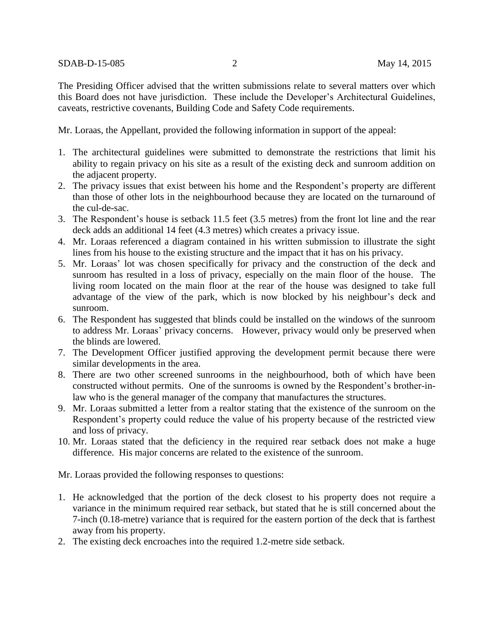The Presiding Officer advised that the written submissions relate to several matters over which this Board does not have jurisdiction. These include the Developer's Architectural Guidelines, caveats, restrictive covenants, Building Code and Safety Code requirements.

Mr. Loraas, the Appellant, provided the following information in support of the appeal:

- 1. The architectural guidelines were submitted to demonstrate the restrictions that limit his ability to regain privacy on his site as a result of the existing deck and sunroom addition on the adjacent property.
- 2. The privacy issues that exist between his home and the Respondent's property are different than those of other lots in the neighbourhood because they are located on the turnaround of the cul-de-sac.
- 3. The Respondent's house is setback 11.5 feet (3.5 metres) from the front lot line and the rear deck adds an additional 14 feet (4.3 metres) which creates a privacy issue.
- 4. Mr. Loraas referenced a diagram contained in his written submission to illustrate the sight lines from his house to the existing structure and the impact that it has on his privacy.
- 5. Mr. Loraas' lot was chosen specifically for privacy and the construction of the deck and sunroom has resulted in a loss of privacy, especially on the main floor of the house. The living room located on the main floor at the rear of the house was designed to take full advantage of the view of the park, which is now blocked by his neighbour's deck and sunroom.
- 6. The Respondent has suggested that blinds could be installed on the windows of the sunroom to address Mr. Loraas' privacy concerns. However, privacy would only be preserved when the blinds are lowered.
- 7. The Development Officer justified approving the development permit because there were similar developments in the area.
- 8. There are two other screened sunrooms in the neighbourhood, both of which have been constructed without permits. One of the sunrooms is owned by the Respondent's brother-inlaw who is the general manager of the company that manufactures the structures.
- 9. Mr. Loraas submitted a letter from a realtor stating that the existence of the sunroom on the Respondent's property could reduce the value of his property because of the restricted view and loss of privacy.
- 10. Mr. Loraas stated that the deficiency in the required rear setback does not make a huge difference. His major concerns are related to the existence of the sunroom.

Mr. Loraas provided the following responses to questions:

- 1. He acknowledged that the portion of the deck closest to his property does not require a variance in the minimum required rear setback, but stated that he is still concerned about the 7-inch (0.18-metre) variance that is required for the eastern portion of the deck that is farthest away from his property.
- 2. The existing deck encroaches into the required 1.2-metre side setback.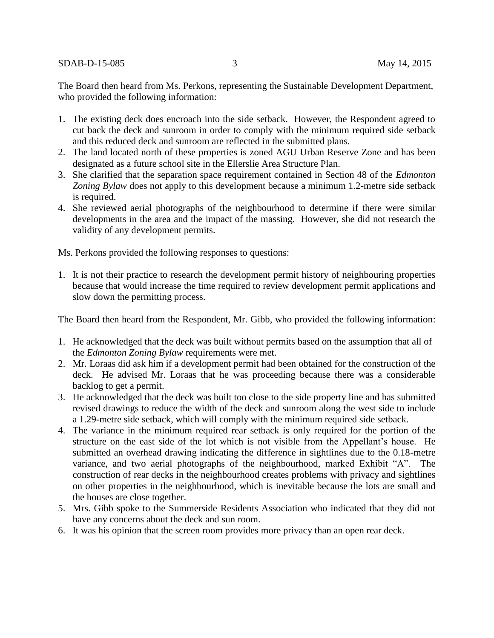SDAB-D-15-085 3 May 14, 2015

The Board then heard from Ms. Perkons, representing the Sustainable Development Department, who provided the following information:

- 1. The existing deck does encroach into the side setback. However, the Respondent agreed to cut back the deck and sunroom in order to comply with the minimum required side setback and this reduced deck and sunroom are reflected in the submitted plans.
- 2. The land located north of these properties is zoned AGU Urban Reserve Zone and has been designated as a future school site in the Ellerslie Area Structure Plan.
- 3. She clarified that the separation space requirement contained in Section 48 of the *Edmonton Zoning Bylaw* does not apply to this development because a minimum 1.2-metre side setback is required.
- 4. She reviewed aerial photographs of the neighbourhood to determine if there were similar developments in the area and the impact of the massing. However, she did not research the validity of any development permits.

Ms. Perkons provided the following responses to questions:

1. It is not their practice to research the development permit history of neighbouring properties because that would increase the time required to review development permit applications and slow down the permitting process.

The Board then heard from the Respondent, Mr. Gibb, who provided the following information:

- 1. He acknowledged that the deck was built without permits based on the assumption that all of the *Edmonton Zoning Bylaw* requirements were met.
- 2. Mr. Loraas did ask him if a development permit had been obtained for the construction of the deck. He advised Mr. Loraas that he was proceeding because there was a considerable backlog to get a permit.
- 3. He acknowledged that the deck was built too close to the side property line and has submitted revised drawings to reduce the width of the deck and sunroom along the west side to include a 1.29-metre side setback, which will comply with the minimum required side setback.
- 4. The variance in the minimum required rear setback is only required for the portion of the structure on the east side of the lot which is not visible from the Appellant's house. He submitted an overhead drawing indicating the difference in sightlines due to the 0.18-metre variance, and two aerial photographs of the neighbourhood, marked Exhibit "A". The construction of rear decks in the neighbourhood creates problems with privacy and sightlines on other properties in the neighbourhood, which is inevitable because the lots are small and the houses are close together.
- 5. Mrs. Gibb spoke to the Summerside Residents Association who indicated that they did not have any concerns about the deck and sun room.
- 6. It was his opinion that the screen room provides more privacy than an open rear deck.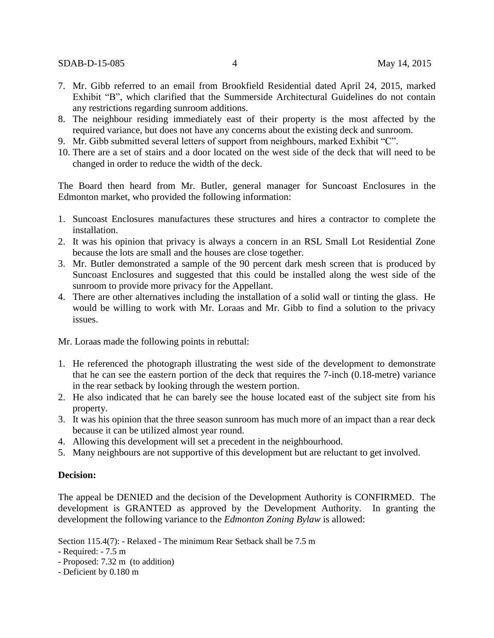SDAB-D-15-085 4 May 14, 2015

- 7. Mr. Gibb referred to an email from Brookfield Residential dated April 24, 2015, marked Exhibit "B", which clarified that the Summerside Architectural Guidelines do not contain any restrictions regarding sunroom additions.
- 8. The neighbour residing immediately east of their property is the most affected by the required variance, but does not have any concerns about the existing deck and sunroom.
- 9. Mr. Gibb submitted several letters of support from neighbours, marked Exhibit "C".
- 10. There are a set of stairs and a door located on the west side of the deck that will need to be changed in order to reduce the width of the deck.

The Board then heard from Mr. Butler, general manager for Suncoast Enclosures in the Edmonton market, who provided the following information:

- 1. Suncoast Enclosures manufactures these structures and hires a contractor to complete the installation.
- 2. It was his opinion that privacy is always a concern in an RSL Small Lot Residential Zone because the lots are small and the houses are close together.
- 3. Mr. Butler demonstrated a sample of the 90 percent dark mesh screen that is produced by Suncoast Enclosures and suggested that this could be installed along the west side of the sunroom to provide more privacy for the Appellant.
- 4. There are other alternatives including the installation of a solid wall or tinting the glass. He would be willing to work with Mr. Loraas and Mr. Gibb to find a solution to the privacy issues.

Mr. Loraas made the following points in rebuttal:

- 1. He referenced the photograph illustrating the west side of the development to demonstrate that he can see the eastern portion of the deck that requires the 7-inch (0.18-metre) variance in the rear setback by looking through the western portion.
- 2. He also indicated that he can barely see the house located east of the subject site from his property.
- 3. It was his opinion that the three season sunroom has much more of an impact than a rear deck because it can be utilized almost year round.
- 4. Allowing this development will set a precedent in the neighbourhood.
- 5. Many neighbours are not supportive of this development but are reluctant to get involved.

#### **Decision:**

The appeal be DENIED and the decision of the Development Authority is CONFIRMED. The development is GRANTED as approved by the Development Authority. In granting the development the following variance to the *Edmonton Zoning Bylaw* is allowed:

Section 115.4(7): - Relaxed - The minimum Rear Setback shall be 7.5 m

- Required: - 7.5 m

- Proposed: 7.32 m (to addition)
- Deficient by 0.180 m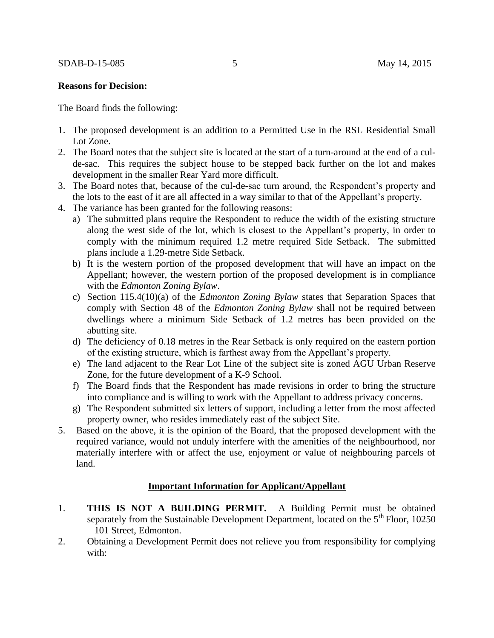#### **Reasons for Decision:**

The Board finds the following:

- 1. The proposed development is an addition to a Permitted Use in the RSL Residential Small Lot Zone.
- 2. The Board notes that the subject site is located at the start of a turn-around at the end of a culde-sac. This requires the subject house to be stepped back further on the lot and makes development in the smaller Rear Yard more difficult.
- 3. The Board notes that, because of the cul-de-sac turn around, the Respondent's property and the lots to the east of it are all affected in a way similar to that of the Appellant's property.
- 4. The variance has been granted for the following reasons:
	- a) The submitted plans require the Respondent to reduce the width of the existing structure along the west side of the lot, which is closest to the Appellant's property, in order to comply with the minimum required 1.2 metre required Side Setback. The submitted plans include a 1.29-metre Side Setback.
	- b) It is the western portion of the proposed development that will have an impact on the Appellant; however, the western portion of the proposed development is in compliance with the *Edmonton Zoning Bylaw*.
	- c) Section 115.4(10)(a) of the *Edmonton Zoning Bylaw* states that Separation Spaces that comply with Section 48 of the *Edmonton Zoning Bylaw* shall not be required between dwellings where a minimum Side Setback of 1.2 metres has been provided on the abutting site.
	- d) The deficiency of 0.18 metres in the Rear Setback is only required on the eastern portion of the existing structure, which is farthest away from the Appellant's property.
	- e) The land adjacent to the Rear Lot Line of the subject site is zoned AGU Urban Reserve Zone, for the future development of a K-9 School.
	- f) The Board finds that the Respondent has made revisions in order to bring the structure into compliance and is willing to work with the Appellant to address privacy concerns.
	- g) The Respondent submitted six letters of support, including a letter from the most affected property owner, who resides immediately east of the subject Site.
- 5. Based on the above, it is the opinion of the Board, that the proposed development with the required variance, would not unduly interfere with the amenities of the neighbourhood, nor materially interfere with or affect the use, enjoyment or value of neighbouring parcels of land.

#### **Important Information for Applicant/Appellant**

- 1. **THIS IS NOT A BUILDING PERMIT.** A Building Permit must be obtained separately from the Sustainable Development Department, located on the  $5<sup>th</sup>$  Floor, 10250 – 101 Street, Edmonton.
- 2. Obtaining a Development Permit does not relieve you from responsibility for complying with: